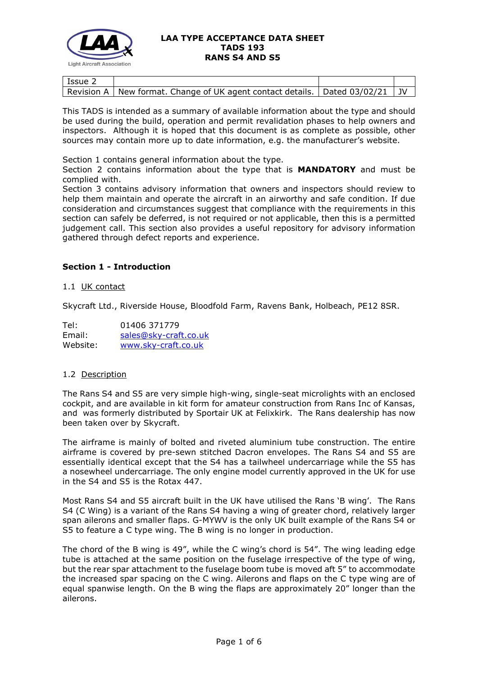

| Issue $\angle$ |                                                                               |  |
|----------------|-------------------------------------------------------------------------------|--|
|                | Revision A   New format. Change of UK agent contact details.   Dated 03/02/21 |  |

This TADS is intended as a summary of available information about the type and should be used during the build, operation and permit revalidation phases to help owners and inspectors. Although it is hoped that this document is as complete as possible, other sources may contain more up to date information, e.g. the manufacturer's website.

Section 1 contains general information about the type.

Section 2 contains information about the type that is **MANDATORY** and must be complied with.

Section 3 contains advisory information that owners and inspectors should review to help them maintain and operate the aircraft in an airworthy and safe condition. If due consideration and circumstances suggest that compliance with the requirements in this section can safely be deferred, is not required or not applicable, then this is a permitted judgement call. This section also provides a useful repository for advisory information gathered through defect reports and experience.

# **Section 1 - Introduction**

### 1.1 UK contact

Skycraft Ltd., Riverside House, Bloodfold Farm, Ravens Bank, Holbeach, PE12 8SR.

| Tel:     | 01406 371779          |
|----------|-----------------------|
| Email:   | sales@sky-craft.co.uk |
| Website: | www.sky-craft.co.uk   |

### 1.2 Description

The Rans S4 and S5 are very simple high-wing, single-seat microlights with an enclosed cockpit, and are available in kit form for amateur construction from Rans Inc of Kansas, and was formerly distributed by Sportair UK at Felixkirk. The Rans dealership has now been taken over by Skycraft.

The airframe is mainly of bolted and riveted aluminium tube construction. The entire airframe is covered by pre-sewn stitched Dacron envelopes. The Rans S4 and S5 are essentially identical except that the S4 has a tailwheel undercarriage while the S5 has a nosewheel undercarriage. The only engine model currently approved in the UK for use in the S4 and S5 is the Rotax 447.

Most Rans S4 and S5 aircraft built in the UK have utilised the Rans 'B wing'. The Rans S4 (C Wing) is a variant of the Rans S4 having a wing of greater chord, relatively larger span ailerons and smaller flaps. G-MYWV is the only UK built example of the Rans S4 or S5 to feature a C type wing. The B wing is no longer in production.

The chord of the B wing is 49", while the C wing's chord is 54". The wing leading edge tube is attached at the same position on the fuselage irrespective of the type of wing, but the rear spar attachment to the fuselage boom tube is moved aft 5" to accommodate the increased spar spacing on the C wing. Ailerons and flaps on the C type wing are of equal spanwise length. On the B wing the flaps are approximately 20" longer than the ailerons.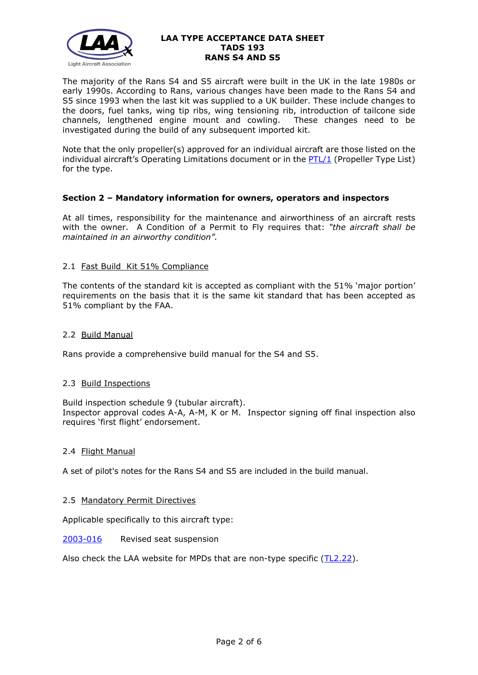

The majority of the Rans S4 and S5 aircraft were built in the UK in the late 1980s or early 1990s. According to Rans, various changes have been made to the Rans S4 and S5 since 1993 when the last kit was supplied to a UK builder. These include changes to the doors, fuel tanks, wing tip ribs, wing tensioning rib, introduction of tailcone side channels, lengthened engine mount and cowling. These changes need to be investigated during the build of any subsequent imported kit.

Note that the only propeller(s) approved for an individual aircraft are those listed on the individual aircraft's Operating Limitations document or in the [PTL/1](http://www.lightaircraftassociation.co.uk/engineering/NewMods/PTL.html) (Propeller Type List) for the type.

### **Section 2 – Mandatory information for owners, operators and inspectors**

At all times, responsibility for the maintenance and airworthiness of an aircraft rests with the owner. A Condition of a Permit to Fly requires that: *"the aircraft shall be maintained in an airworthy condition".* 

### 2.1 Fast Build Kit 51% Compliance

The contents of the standard kit is accepted as compliant with the 51% 'major portion' requirements on the basis that it is the same kit standard that has been accepted as 51% compliant by the FAA.

#### 2.2 Build Manual

Rans provide a comprehensive build manual for the S4 and S5.

### 2.3 Build Inspections

Build inspection schedule 9 (tubular aircraft). Inspector approval codes A-A, A-M, K or M. Inspector signing off final inspection also requires 'first flight' endorsement.

#### 2.4 Flight Manual

A set of pilot's notes for the Rans S4 and S5 are included in the build manual.

### 2.5 Mandatory Permit Directives

Applicable specifically to this aircraft type:

#### [2003-016](http://www.lightaircraftassociation.co.uk/engineering/TADs/193/MPD2003-016.pdf) Revised seat suspension

Also check the LAA website for MPDs that are non-type specific [\(TL2.22\)](http://www.lightaircraftassociation.co.uk/engineering/TechnicalLeaflets/Operating%20An%20Aircraft/TL%202.22%20non-type%20specific%20MPDs.pdf).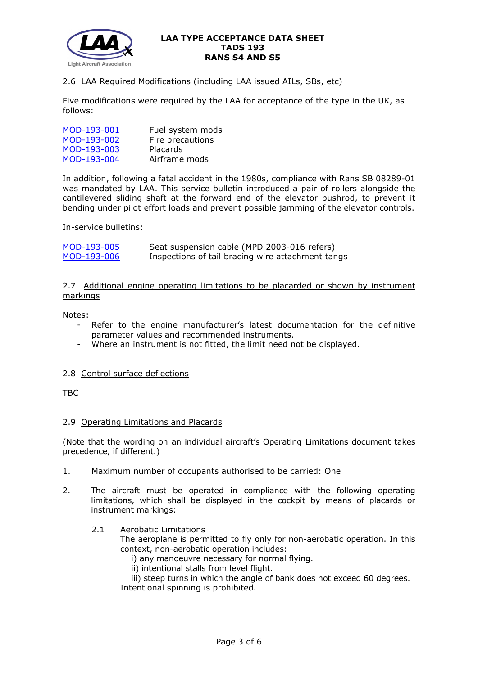

# 2.6 LAA Required Modifications (including LAA issued AILs, SBs, etc)

Five modifications were required by the LAA for acceptance of the type in the UK, as follows:

| MOD-193-001 | Fuel system mods |
|-------------|------------------|
| MOD-193-002 | Fire precautions |
| MOD-193-003 | Placards         |
| MOD-193-004 | Airframe mods    |

In addition, following a fatal accident in the 1980s, compliance with Rans SB 08289-01 was mandated by LAA. This service bulletin introduced a pair of rollers alongside the cantilevered sliding shaft at the forward end of the elevator pushrod, to prevent it bending under pilot effort loads and prevent possible jamming of the elevator controls.

In-service bulletins:

| MOD-193-005 | Seat suspension cable (MPD 2003-016 refers)       |
|-------------|---------------------------------------------------|
| MOD-193-006 | Inspections of tail bracing wire attachment tangs |

2.7 Additional engine operating limitations to be placarded or shown by instrument markings

Notes:

- Refer to the engine manufacturer's latest documentation for the definitive parameter values and recommended instruments.
- Where an instrument is not fitted, the limit need not be displayed.

### 2.8 Control surface deflections

TBC

### 2.9 Operating Limitations and Placards

(Note that the wording on an individual aircraft's Operating Limitations document takes precedence, if different.)

- 1. Maximum number of occupants authorised to be carried: One
- 2. The aircraft must be operated in compliance with the following operating limitations, which shall be displayed in the cockpit by means of placards or instrument markings:
	- 2.1 Aerobatic Limitations

The aeroplane is permitted to fly only for non-aerobatic operation. In this context, non-aerobatic operation includes:

- i) any manoeuvre necessary for normal flying.
- ii) intentional stalls from level flight.

 iii) steep turns in which the angle of bank does not exceed 60 degrees. Intentional spinning is prohibited.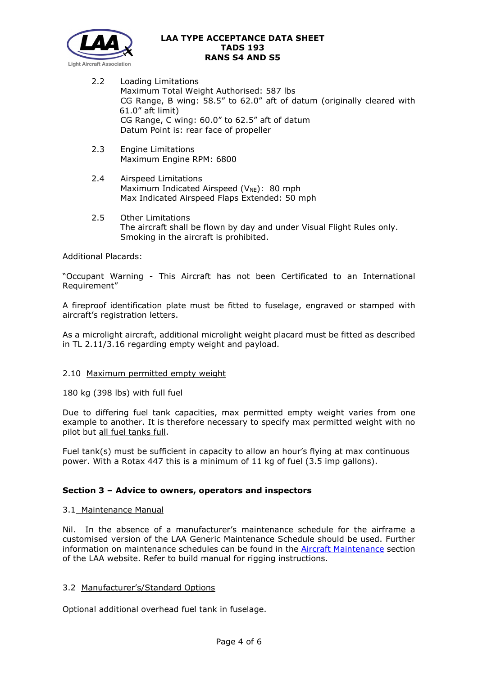

- 2.2 Loading Limitations Maximum Total Weight Authorised: 587 lbs CG Range, B wing: 58.5" to 62.0" aft of datum (originally cleared with 61.0" aft limit) CG Range, C wing: 60.0" to 62.5" aft of datum Datum Point is: rear face of propeller
- 2.3 Engine Limitations Maximum Engine RPM: 6800
- 2.4 Airspeed Limitations Maximum Indicated Airspeed ( $V_{NE}$ ): 80 mph Max Indicated Airspeed Flaps Extended: 50 mph
- 2.5 Other Limitations The aircraft shall be flown by day and under Visual Flight Rules only. Smoking in the aircraft is prohibited.

Additional Placards:

"Occupant Warning - This Aircraft has not been Certificated to an International Requirement"

A fireproof identification plate must be fitted to fuselage, engraved or stamped with aircraft's registration letters.

As a microlight aircraft, additional microlight weight placard must be fitted as described in TL 2.11/3.16 regarding empty weight and payload.

### 2.10 Maximum permitted empty weight

180 kg (398 lbs) with full fuel

Due to differing fuel tank capacities, max permitted empty weight varies from one example to another. It is therefore necessary to specify max permitted weight with no pilot but all fuel tanks full.

Fuel tank(s) must be sufficient in capacity to allow an hour's flying at max continuous power. With a Rotax 447 this is a minimum of 11 kg of fuel (3.5 imp gallons).

### **Section 3 – Advice to owners, operators and inspectors**

#### 3.1 Maintenance Manual

Nil. In the absence of a manufacturer's maintenance schedule for the airframe a customised version of the LAA Generic Maintenance Schedule should be used. Further information on maintenance schedules can be found in the [Aircraft Maintenance](http://www.lightaircraftassociation.co.uk/engineering/Maintenance/Aircraft_Maintenance.html) section of the LAA website. Refer to build manual for rigging instructions.

### 3.2 Manufacturer's/Standard Options

Optional additional overhead fuel tank in fuselage.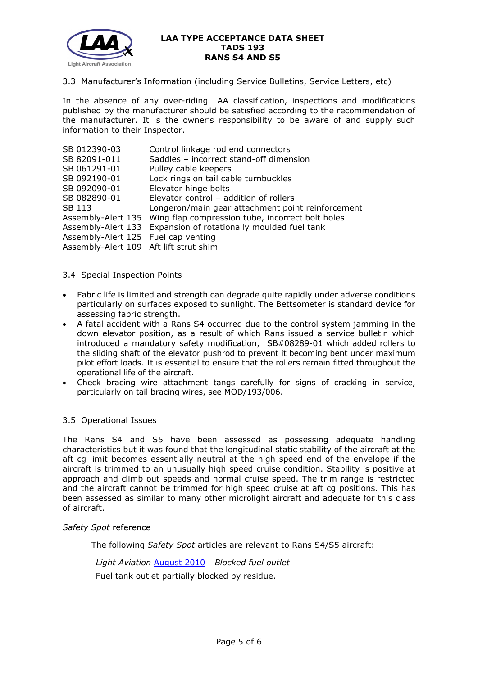

#### 3.3 Manufacturer's Information (including Service Bulletins, Service Letters, etc)

In the absence of any over-riding LAA classification, inspections and modifications published by the manufacturer should be satisfied according to the recommendation of the manufacturer. It is the owner's responsibility to be aware of and supply such information to their Inspector.

| SB 012390-03                           | Control linkage rod end connectors                                  |
|----------------------------------------|---------------------------------------------------------------------|
| SB 82091-011                           | Saddles - incorrect stand-off dimension                             |
| SB 061291-01                           | Pulley cable keepers                                                |
| SB 092190-01                           | Lock rings on tail cable turnbuckles                                |
| SB 092090-01                           | Elevator hinge bolts                                                |
| SB 082890-01                           | Elevator control - addition of rollers                              |
| SB 113                                 | Longeron/main gear attachment point reinforcement                   |
|                                        | Assembly-Alert 135 Wing flap compression tube, incorrect bolt holes |
| Assembly-Alert 133                     | Expansion of rotationally moulded fuel tank                         |
| Assembly-Alert 125 Fuel cap venting    |                                                                     |
| Assembly-Alert 109 Aft lift strut shim |                                                                     |
|                                        |                                                                     |

#### 3.4 Special Inspection Points

- Fabric life is limited and strength can degrade quite rapidly under adverse conditions particularly on surfaces exposed to sunlight. The Bettsometer is standard device for assessing fabric strength.
- A fatal accident with a Rans S4 occurred due to the control system jamming in the down elevator position, as a result of which Rans issued a service bulletin which introduced a mandatory safety modification, SB#08289-01 which added rollers to the sliding shaft of the elevator pushrod to prevent it becoming bent under maximum pilot effort loads. It is essential to ensure that the rollers remain fitted throughout the operational life of the aircraft.
- Check bracing wire attachment tangs carefully for signs of cracking in service, particularly on tail bracing wires, see MOD/193/006.

### 3.5 Operational Issues

The Rans S4 and S5 have been assessed as possessing adequate handling characteristics but it was found that the longitudinal static stability of the aircraft at the aft cg limit becomes essentially neutral at the high speed end of the envelope if the aircraft is trimmed to an unusually high speed cruise condition. Stability is positive at approach and climb out speeds and normal cruise speed. The trim range is restricted and the aircraft cannot be trimmed for high speed cruise at aft cg positions. This has been assessed as similar to many other microlight aircraft and adequate for this class of aircraft.

#### *Safety Spot* reference

The following *Safety Spot* articles are relevant to Rans S4/S5 aircraft:

*Light Aviation* [August 2010](http://www.lightaircraftassociation.co.uk/2010/Magazine/2010/Aug/Safety%20Spot%20Aug%2010.pdf) *Blocked fuel outlet*

Fuel tank outlet partially blocked by residue.